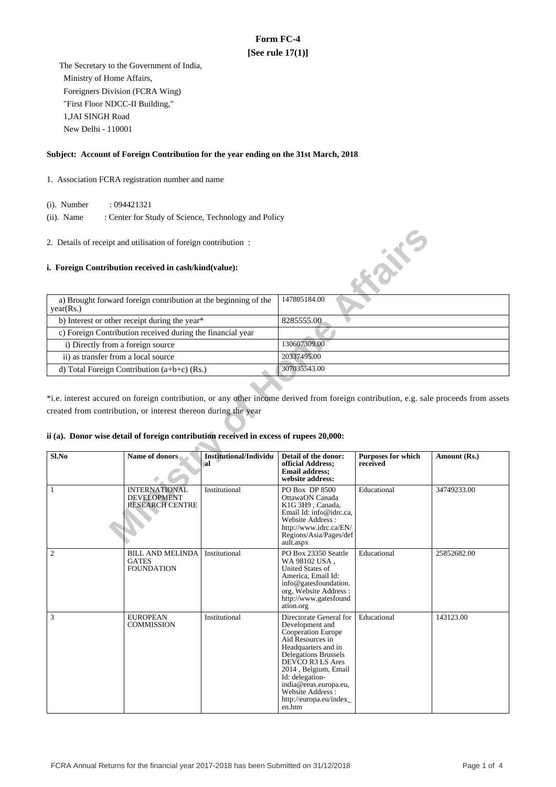# **Form FC-4 [See rule 17(1)]**

 The Secretary to the Government of India, Ministry of Home Affairs, Foreigners Division (FCRA Wing) "First Floor NDCC-II Building," 1,JAI SINGH Road New Delhi - 110001

## **Subject: Account of Foreign Contribution for the year ending on the 31st March, 2018**

- 1. Association FCRA registration number and name
	- (i). Number : 094421321
	- (ii). Name : Center for Study of Science, Technology and Policy
- 2. Details of receipt and utilisation of foreign contribution :

### **i. Foreign Contribution received in cash/kind(value):**



\*i.e. interest accured on foreign contribution, or any other income derived from foreign contribution, e.g. sale proceeds from assets created from contribution, or interest thereon during the year

## **ii (a). Donor wise detail of foreign contribution received in excess of rupees 20,000:**

| $Sl$ .No       | Name of donors                                                       | Institutional/Individu<br>`al | Detail of the donor:<br>official Address;<br><b>Email address:</b><br>website address:                                                                                                                                                                                               | <b>Purposes for which</b><br>received | Amount (Rs.) |
|----------------|----------------------------------------------------------------------|-------------------------------|--------------------------------------------------------------------------------------------------------------------------------------------------------------------------------------------------------------------------------------------------------------------------------------|---------------------------------------|--------------|
| 1              | <b>INTERNATIONAL</b><br><b>DEVELOPMENT</b><br><b>RESEARCH CENTRE</b> | Institutional                 | <b>PO Box DP 8500</b><br>OttawaON Canada<br>K1G 3H9, Canada,<br>Email Id: info@idrc.ca.<br>Website Address:<br>http://www.idrc.ca/EN/<br>Regions/Asia/Pages/def<br>ault.aspx                                                                                                         | Educational                           | 34749233.00  |
| $\mathfrak{2}$ | <b>BILL AND MELINDA</b><br><b>GATES</b><br><b>FOUNDATION</b>         | Institutional                 | PO Box 23350 Seattle<br>WA 98102 USA,<br>United States of<br>America, Email Id:<br>info@gatesfoundation.<br>org, Website Address:<br>http://www.gatesfound<br>ation.org                                                                                                              | Educational                           | 25852682.00  |
| 3              | <b>EUROPEAN</b><br><b>COMMISSION</b>                                 | Institutional                 | Directorate General for<br>Development and<br>Cooperation Europe<br>Aid Resources in<br>Headquarters and in<br>Delegations Brussels<br>DEVCO R3 LS Ares<br>2014, Belgium, Email<br>Id: delegation-<br>india@eeas.europa.eu,<br>Website Address:<br>http://europa.eu/index_<br>en.htm | Educational                           | 143123.00    |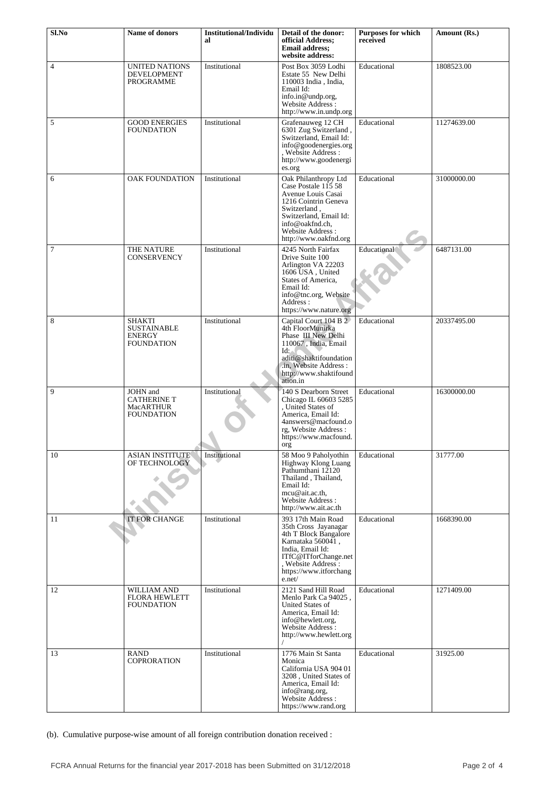| $Sl$ .No       | Name of donors                                                   | <b>Institutional/Individu</b><br>al | Detail of the donor:<br>official Address:<br><b>Email address;</b><br>website address:                                                                                                                     | <b>Purposes for which</b><br>received | Amount (Rs.) |
|----------------|------------------------------------------------------------------|-------------------------------------|------------------------------------------------------------------------------------------------------------------------------------------------------------------------------------------------------------|---------------------------------------|--------------|
| $\overline{4}$ | UNITED NATIONS<br>DEVELOPMENT<br>PROGRAMME                       | Institutional                       | Post Box 3059 Lodhi<br>Estate 55 New Delhi<br>110003 India, India,<br>Email Id:<br>info.in@undp.org,<br>Website Address:<br>http://www.in.undp.org                                                         | Educational                           | 1808523.00   |
| 5              | <b>GOOD ENERGIES</b><br>FOUNDATION                               | Institutional                       | Grafenauweg 12 CH<br>6301 Zug Switzerland,<br>Switzerland, Email Id:<br>info@goodenergies.org<br>, Website Address :<br>http://www.goodenergi<br>es.org                                                    | Educational                           | 11274639.00  |
| 6              | <b>OAK FOUNDATION</b>                                            | Institutional                       | Oak Philanthropy Ltd<br>Case Postale 115 58<br>Avenue Louis Casai<br>1216 Cointrin Geneva<br>Switzerland,<br>Switzerland, Email Id:<br>info@oakfnd.ch,<br><b>Website Address:</b><br>http://www.oakfnd.org | Educational                           | 31000000.00  |
| 7              | THE NATURE<br><b>CONSERVENCY</b>                                 | Institutional                       | 4245 North Fairfax<br>Drive Suite 100<br>Arlington VA 22203<br>1606 USA, United<br>States of America.<br>Email Id:<br>info@tnc.org, Website<br>Address:<br>https://www.nature.org                          | Educational                           | 6487131.00   |
| 8              | SHAKTI<br><b>SUSTAINABLE</b><br>ENERGY<br><b>FOUNDATION</b>      | Institutional                       | Capital Court 104 B 2<br>4th FloorMunirka<br>Phase III New Delhi<br>110067, India, Email<br>Id:<br>aditi@shaktifoundation<br>.in, Website Address :<br>http://www.shaktifound<br>ation.in                  | Educational                           | 20337495.00  |
| 9              | JOHN and<br><b>CATHERINE T</b><br><b>MacARTHUR</b><br>FOUNDATION | Institutional                       | 140 S Dearborn Street<br>Chicago IL 60603 5285<br>, United States of<br>America, Email Id:<br>4answers@macfound.o<br>rg, Website Address:<br>https://www.macfound.<br>org                                  | Educational                           | 16300000.00  |
| 10             | <b>ASIAN INSTITUTE</b><br>OF TECHNOLOGY                          | Institutional                       | 58 Moo 9 Paholyothin<br>Highway Klong Luang<br>Pathumthani 12120<br>Thailand, Thailand,<br>Email Id:<br>mcu@ait.ac.th,<br>Website Address:<br>http://www.ait.ac.th                                         | Educational                           | 31777.00     |
| 11             | <b>IT FOR CHANGE</b>                                             | Institutional                       | 393 17th Main Road<br>35th Cross Jayanagar<br>4th T Block Bangalore<br>Karnataka 560041,<br>India, Email Id:<br>ITfC@ITforChange.net<br>, Website Address:<br>https://www.itforchang<br>e.net/             | Educational                           | 1668390.00   |
| 12             | <b>WILLIAM AND</b><br><b>FLORA HEWLETT</b><br>FOUNDATION         | Institutional                       | 2121 Sand Hill Road<br>Menlo Park Ca 94025,<br>United States of<br>America, Email Id:<br>info@hewlett.org,<br>Website Address:<br>http://www.hewlett.org                                                   | Educational                           | 1271409.00   |
| 13             | RAND<br><b>COPRORATION</b>                                       | Institutional                       | 1776 Main St Santa<br>Monica<br>California USA 904 01<br>3208, United States of<br>America, Email Id:<br>info@rang.org,<br>Website Address :<br>https://www.rand.org                                       | Educational                           | 31925.00     |

(b). Cumulative purpose-wise amount of all foreign contribution donation received :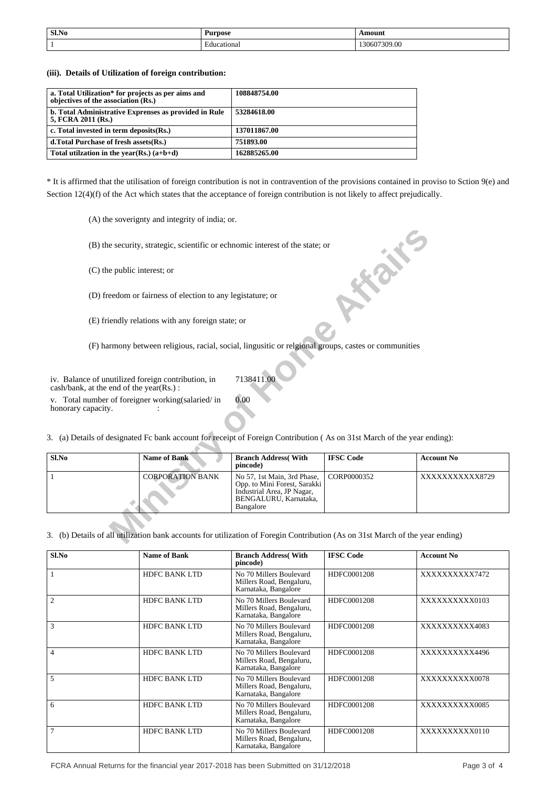| Sl.No | Purpose<br>__         | ∖mount<br>$\frac{1}{2} \left( \frac{1}{2} \right) \left( \frac{1}{2} \right) \left( \frac{1}{2} \right) \left( \frac{1}{2} \right) \left( \frac{1}{2} \right) \left( \frac{1}{2} \right) \left( \frac{1}{2} \right) \left( \frac{1}{2} \right) \left( \frac{1}{2} \right) \left( \frac{1}{2} \right) \left( \frac{1}{2} \right) \left( \frac{1}{2} \right) \left( \frac{1}{2} \right) \left( \frac{1}{2} \right) \left( \frac{1}{2} \right) \left( \frac{1}{2} \right) \left( \frac$ |
|-------|-----------------------|--------------------------------------------------------------------------------------------------------------------------------------------------------------------------------------------------------------------------------------------------------------------------------------------------------------------------------------------------------------------------------------------------------------------------------------------------------------------------------------|
|       | $\sim$<br>Educational | 130607309.00                                                                                                                                                                                                                                                                                                                                                                                                                                                                         |

**(iii). Details of Utilization of foreign contribution:**

| a. Total Utilization* for projects as per aims and<br>objectives of the association (Rs.) | 108848754.00 |
|-------------------------------------------------------------------------------------------|--------------|
| b. Total Administrative Exprenses as provided in Rule<br>5, FCRA 2011 (Rs.)               | 53284618.00  |
| c. Total invested in term deposits (Rs.)                                                  | 137011867.00 |
| d. Total Purchase of fresh assets (Rs.)                                                   | 751893.00    |
| Total utilization in the year(Rs.) $(a+b+d)$                                              | 162885265.00 |

\* It is affirmed that the utilisation of foreign contribution is not in contravention of the provisions contained in proviso to Sction 9(e) and Section 12(4)(f) of the Act which states that the acceptance of foreign contribution is not likely to affect prejudically.

(A) the soverignty and integrity of india; or.

| (B) the security, strategic, scientific or echnomic interest of the state; or                                                 |                                                                                                      |                                                                                                                                 |                  |                   |  |  |  |
|-------------------------------------------------------------------------------------------------------------------------------|------------------------------------------------------------------------------------------------------|---------------------------------------------------------------------------------------------------------------------------------|------------------|-------------------|--|--|--|
| (C) the public interest; or                                                                                                   |                                                                                                      |                                                                                                                                 |                  |                   |  |  |  |
| (D) freedom or fairness of election to any legistature; or                                                                    |                                                                                                      |                                                                                                                                 |                  |                   |  |  |  |
|                                                                                                                               | (E) friendly relations with any foreign state; or                                                    |                                                                                                                                 |                  |                   |  |  |  |
|                                                                                                                               | (F) harmony between religious, racial, social, lingusitic or relgional groups, castes or communities |                                                                                                                                 |                  |                   |  |  |  |
| 7138411.00<br>iv. Balance of unutilized foreign contribution, in<br>cash/bank, at the end of the year(Rs.):                   |                                                                                                      |                                                                                                                                 |                  |                   |  |  |  |
| 0.00<br>v. Total number of foreigner working (salaried/in<br>honorary capacity.                                               |                                                                                                      |                                                                                                                                 |                  |                   |  |  |  |
| 3. (a) Details of designated Fc bank account for receipt of Foreign Contribution (As on 31st March of the year ending):       |                                                                                                      |                                                                                                                                 |                  |                   |  |  |  |
| Sl.No                                                                                                                         | <b>Name of Bank</b>                                                                                  | <b>Branch Address</b> (With<br>pincode)                                                                                         | <b>IFSC Code</b> | <b>Account No</b> |  |  |  |
|                                                                                                                               | <b>CORPORATION BANK</b>                                                                              | No 57, 1st Main, 3rd Phase,<br>Opp. to Mini Forest, Sarakki<br>Industrial Area, JP Nagar,<br>BENGALURU, Karnataka,<br>Bangalore | CORP0000352      | XXXXXXXXXXX8729   |  |  |  |
| 3. (b) Details of all utilization bank accounts for utilization of Foregin Contribution (As on 31st March of the year ending) |                                                                                                      |                                                                                                                                 |                  |                   |  |  |  |

| Sl.No          | <b>Name of Bank</b>  | <b>Branch Address</b> (With<br>pincode)                                     | <b>IFSC Code</b> | <b>Account No</b> |
|----------------|----------------------|-----------------------------------------------------------------------------|------------------|-------------------|
|                | <b>HDFC BANK LTD</b> | No 70 Millers Boulevard<br>Millers Road, Bengaluru,<br>Karnataka, Bangalore | HDFC0001208      | XXXXXXXXXX7472    |
| $\overline{c}$ | <b>HDFC BANK LTD</b> | No 70 Millers Boulevard<br>Millers Road, Bengaluru,<br>Karnataka, Bangalore | HDFC0001208      | XXXXXXXXXX0103    |
| 3              | <b>HDFC BANK LTD</b> | No 70 Millers Boulevard<br>Millers Road, Bengaluru,<br>Karnataka, Bangalore | HDFC0001208      | XXXXXXXXX4083     |
| $\overline{4}$ | <b>HDFC BANK LTD</b> | No 70 Millers Boulevard<br>Millers Road, Bengaluru,<br>Karnataka, Bangalore | HDFC0001208      | XXXXXXXXX4496     |
| 5              | <b>HDFC BANK LTD</b> | No 70 Millers Boulevard<br>Millers Road, Bengaluru,<br>Karnataka, Bangalore | HDFC0001208      | XXXXXXXXXX0078    |
| 6              | <b>HDFC BANK LTD</b> | No 70 Millers Boulevard<br>Millers Road, Bengaluru,<br>Karnataka, Bangalore | HDFC0001208      | XXXXXXXXXX0085    |
| $\overline{7}$ | <b>HDFC BANK LTD</b> | No 70 Millers Boulevard<br>Millers Road, Bengaluru,<br>Karnataka, Bangalore | HDFC0001208      | XXXXXXXXXX0110    |